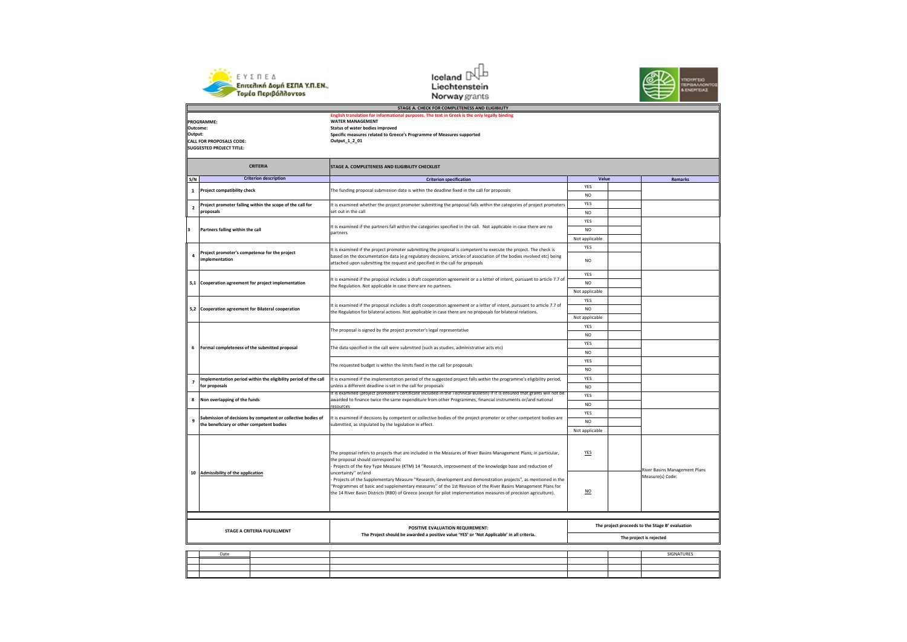





| $\cdots$                |                                                                                               |                                                                                                                                                                                                                                    |                |  |                                                 |  |
|-------------------------|-----------------------------------------------------------------------------------------------|------------------------------------------------------------------------------------------------------------------------------------------------------------------------------------------------------------------------------------|----------------|--|-------------------------------------------------|--|
|                         | STAGE A. CHECK FOR COMPLETENESS AND ELIGIBILITY                                               |                                                                                                                                                                                                                                    |                |  |                                                 |  |
|                         | English translation for informational purposes. The text in Greek is the only legally binding |                                                                                                                                                                                                                                    |                |  |                                                 |  |
|                         | PROGRAMME:                                                                                    | <b>WATER MANAGEMENT</b>                                                                                                                                                                                                            |                |  |                                                 |  |
| Outcome:                |                                                                                               | Status of water bodies improved                                                                                                                                                                                                    |                |  |                                                 |  |
| Output:                 |                                                                                               | Specific measures related to Greece's Programme of Measures supported                                                                                                                                                              |                |  |                                                 |  |
|                         | <b>CALL FOR PROPOSALS CODE:</b>                                                               | Output_1_2_01                                                                                                                                                                                                                      |                |  |                                                 |  |
|                         | <b>SUGGESTED PROJECT TITLE:</b>                                                               |                                                                                                                                                                                                                                    |                |  |                                                 |  |
|                         |                                                                                               |                                                                                                                                                                                                                                    |                |  |                                                 |  |
|                         | <b>CRITERIA</b>                                                                               | STAGE A. COMPLETENESS AND ELIGIBILITY CHECKLIST                                                                                                                                                                                    |                |  |                                                 |  |
| S/N                     | <b>Criterion description</b>                                                                  | <b>Criterion specification</b>                                                                                                                                                                                                     | Value          |  | Remarks                                         |  |
|                         |                                                                                               |                                                                                                                                                                                                                                    | YES            |  |                                                 |  |
| 1                       | <b>Project compatibility check</b>                                                            | The funding proposal submission date is within the deadline fixed in the call for proposals                                                                                                                                        | N <sub>O</sub> |  |                                                 |  |
| $\overline{2}$          | Project promoter falling within the scope of the call for                                     | It is examined whether the project promoter submitting the proposal falls within the categories of project promoters                                                                                                               | <b>YES</b>     |  |                                                 |  |
|                         | proposals                                                                                     | set out in the call                                                                                                                                                                                                                | N <sub>O</sub> |  |                                                 |  |
|                         |                                                                                               |                                                                                                                                                                                                                                    | <b>YES</b>     |  |                                                 |  |
| $\overline{\mathbf{3}}$ | Partners falling within the call                                                              | It is examined if the partners fall within the categories specified in the call. Not applicable in case there are no                                                                                                               | NO             |  |                                                 |  |
|                         |                                                                                               | partners.                                                                                                                                                                                                                          |                |  |                                                 |  |
|                         |                                                                                               |                                                                                                                                                                                                                                    | Not applicable |  |                                                 |  |
|                         | Project promoter's competence for the project                                                 | It is examined if the project promoter submitting the proposal is competent to execute the project. The check is                                                                                                                   | <b>YES</b>     |  |                                                 |  |
| 4                       | implementation                                                                                | based on the documentation data (e.g regulatory decisions, articles of association of the bodies involved etc) being                                                                                                               |                |  |                                                 |  |
|                         |                                                                                               | attached upon submitting the request and specified in the call for proposals                                                                                                                                                       | <b>NO</b>      |  |                                                 |  |
|                         |                                                                                               |                                                                                                                                                                                                                                    | <b>YES</b>     |  |                                                 |  |
|                         |                                                                                               | It is examined if the proposal includes a draft cooperation agreement or a a letter of intent, pursuant to article 7.7 of                                                                                                          |                |  |                                                 |  |
|                         | 5,1 Cooperation agreement for project implementation                                          | the Regulation. Not applicable in case there are no partners.                                                                                                                                                                      | N <sub>O</sub> |  |                                                 |  |
|                         |                                                                                               |                                                                                                                                                                                                                                    | Not applicable |  |                                                 |  |
|                         |                                                                                               |                                                                                                                                                                                                                                    | <b>YES</b>     |  |                                                 |  |
| 5,2                     | Cooperation agreement for Bilateral cooperation                                               | It is examined if the proposal includes a draft cooperation agreement or a letter of intent, pursuant to article 7.7 of                                                                                                            | N <sub>O</sub> |  |                                                 |  |
|                         |                                                                                               | the Regulation for bilateral actions. Not applicable in case there are no proposals for bilateral relations.                                                                                                                       | Not applicable |  |                                                 |  |
|                         |                                                                                               |                                                                                                                                                                                                                                    |                |  |                                                 |  |
|                         |                                                                                               | The proposal is signed by the project promoter's legal representative                                                                                                                                                              | <b>YES</b>     |  |                                                 |  |
|                         |                                                                                               |                                                                                                                                                                                                                                    | <b>NO</b>      |  |                                                 |  |
|                         |                                                                                               | The data specified in the call were submitted (such as studies, administrative acts etc)<br>The requested budget is within the limits fixed in the call for proposals                                                              | YES            |  |                                                 |  |
| 6                       | Formal completeness of the submitted proposal                                                 |                                                                                                                                                                                                                                    | N <sub>O</sub> |  |                                                 |  |
|                         |                                                                                               |                                                                                                                                                                                                                                    | YES            |  |                                                 |  |
|                         |                                                                                               |                                                                                                                                                                                                                                    |                |  |                                                 |  |
|                         |                                                                                               |                                                                                                                                                                                                                                    | N <sub>O</sub> |  |                                                 |  |
| $\overline{ }$          | Implementation period within the eligibility period of the call                               | It is examined if the implementation period of the suggested project falls within the programme's eligibility period,                                                                                                              | <b>YES</b>     |  |                                                 |  |
|                         | for proposals                                                                                 | unless a different deadline is set in the call for proposals                                                                                                                                                                       | N <sub>O</sub> |  |                                                 |  |
|                         |                                                                                               | It is examined (project promoter's certificate included in the Technical Bulletin) if it is ensured that grants will not be                                                                                                        | YES            |  |                                                 |  |
| 8                       | Non overlapping of the funds                                                                  | awarded to finance twice the same expenditure from other Programmes, financial instruments or/and national                                                                                                                         | <b>NO</b>      |  |                                                 |  |
|                         |                                                                                               | resources                                                                                                                                                                                                                          | YES            |  |                                                 |  |
| 9                       | Submission of decisions by competent or collective bodies of                                  | It is examined if decisions by competent or collective bodies of the project promoter or other competent bodies are                                                                                                                |                |  |                                                 |  |
|                         | the beneficiary or other competent bodies                                                     | submitted, as stipulated by the legislation in effect.                                                                                                                                                                             | NO.            |  |                                                 |  |
|                         |                                                                                               |                                                                                                                                                                                                                                    | Not applicable |  |                                                 |  |
|                         |                                                                                               |                                                                                                                                                                                                                                    |                |  |                                                 |  |
|                         |                                                                                               |                                                                                                                                                                                                                                    |                |  |                                                 |  |
|                         |                                                                                               | The proposal refers to projects that are included in the Measures of River Basins Management Plans; in particular,                                                                                                                 | YES            |  |                                                 |  |
|                         |                                                                                               | the proposal should correspond to:                                                                                                                                                                                                 |                |  |                                                 |  |
|                         |                                                                                               | Projects of the Key Type Measure (KTM) 14 "Research, improvement of the knowledge base and reduction of                                                                                                                            |                |  | River Basins Management Plans                   |  |
| 10                      | Admissibility of the application                                                              | uncertainty" or/and                                                                                                                                                                                                                |                |  | Measure(s) Code:                                |  |
|                         |                                                                                               | Projects of the Supplementary Measure "Research, development and demonstration projects", as mentioned in the                                                                                                                      |                |  |                                                 |  |
|                         |                                                                                               | "Programmes of basic and supplementary measures" of the 1st Revision of the River Basins Management Plans for<br>the 14 River Basin Districts (RBD) of Greece (except for pilot implementation measures of precision agriculture). | NO             |  |                                                 |  |
|                         |                                                                                               |                                                                                                                                                                                                                                    |                |  |                                                 |  |
|                         |                                                                                               |                                                                                                                                                                                                                                    |                |  |                                                 |  |
|                         |                                                                                               |                                                                                                                                                                                                                                    |                |  |                                                 |  |
|                         |                                                                                               |                                                                                                                                                                                                                                    |                |  |                                                 |  |
|                         | STAGE A CRITERIA FULFILLMENT                                                                  | <b>POSITIVE EVALUATION REQUIREMENT:</b>                                                                                                                                                                                            |                |  | The project proceeds to the Stage B' evaluation |  |
|                         |                                                                                               | The Project should be awarded a positive value 'YES' or 'Not Applicable' in all criteria.                                                                                                                                          |                |  |                                                 |  |
| The project is rejected |                                                                                               |                                                                                                                                                                                                                                    |                |  |                                                 |  |
|                         |                                                                                               |                                                                                                                                                                                                                                    |                |  |                                                 |  |
|                         | Date                                                                                          |                                                                                                                                                                                                                                    |                |  | SIGNATURES                                      |  |
|                         |                                                                                               |                                                                                                                                                                                                                                    |                |  |                                                 |  |
|                         |                                                                                               |                                                                                                                                                                                                                                    |                |  |                                                 |  |
|                         |                                                                                               |                                                                                                                                                                                                                                    |                |  |                                                 |  |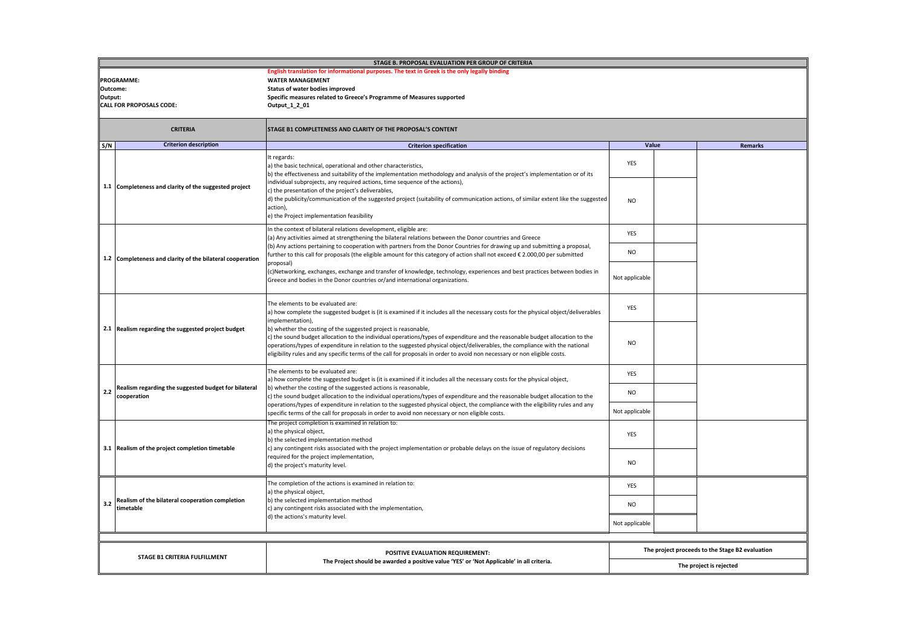|                     | STAGE B. PROPOSAL EVALUATION PER GROUP OF CRITERIA                                                                                                                   |                                                                                                                                                                                                                                                                                                                                                                                                                                                                                                                                                                                                                                                            |                         |                                                 |  |  |
|---------------------|----------------------------------------------------------------------------------------------------------------------------------------------------------------------|------------------------------------------------------------------------------------------------------------------------------------------------------------------------------------------------------------------------------------------------------------------------------------------------------------------------------------------------------------------------------------------------------------------------------------------------------------------------------------------------------------------------------------------------------------------------------------------------------------------------------------------------------------|-------------------------|-------------------------------------------------|--|--|
| Outcome:<br>Output: | <b>PROGRAMME:</b><br><b>CALL FOR PROPOSALS CODE:</b>                                                                                                                 |                                                                                                                                                                                                                                                                                                                                                                                                                                                                                                                                                                                                                                                            |                         |                                                 |  |  |
|                     | <b>CRITERIA</b>                                                                                                                                                      | STAGE B1 COMPLETENESS AND CLARITY OF THE PROPOSAL'S CONTENT                                                                                                                                                                                                                                                                                                                                                                                                                                                                                                                                                                                                |                         |                                                 |  |  |
| S/N                 | <b>Criterion description</b>                                                                                                                                         | <b>Criterion specification</b>                                                                                                                                                                                                                                                                                                                                                                                                                                                                                                                                                                                                                             | Value                   | <b>Remarks</b>                                  |  |  |
|                     | 1.1 Completeness and clarity of the suggested project                                                                                                                | It regards:<br>a) the basic technical, operational and other characteristics,<br>b) the effectiveness and suitability of the implementation methodology and analysis of the project's implementation or of its<br>individual subprojects, any required actions, time sequence of the actions),                                                                                                                                                                                                                                                                                                                                                             | YES                     |                                                 |  |  |
|                     |                                                                                                                                                                      | c) the presentation of the project's deliverables,<br>d) the publicity/communication of the suggested project (suitability of communication actions, of similar extent like the suggested<br>action),<br>e) the Project implementation feasibility                                                                                                                                                                                                                                                                                                                                                                                                         | <b>NO</b>               |                                                 |  |  |
|                     |                                                                                                                                                                      | In the context of bilateral relations development, eligible are:<br>(a) Any activities aimed at strengthening the bilateral relations between the Donor countries and Greece                                                                                                                                                                                                                                                                                                                                                                                                                                                                               | YES                     |                                                 |  |  |
|                     | 1.2 Completeness and clarity of the bilateral cooperation                                                                                                            | (b) Any actions pertaining to cooperation with partners from the Donor Countries for drawing up and submitting a proposal,<br>further to this call for proposals (the eligible amount for this category of action shall not exceed € 2.000,00 per submitted<br>proposal)                                                                                                                                                                                                                                                                                                                                                                                   | <b>NO</b>               |                                                 |  |  |
|                     |                                                                                                                                                                      | (c)Networking, exchanges, exchange and transfer of knowledge, technology, experiences and best practices between bodies in<br>Greece and bodies in the Donor countries or/and international organizations.                                                                                                                                                                                                                                                                                                                                                                                                                                                 | Not applicable          |                                                 |  |  |
|                     | 2.1 Realism regarding the suggested project budget                                                                                                                   | The elements to be evaluated are:<br>a) how complete the suggested budget is (it is examined if it includes all the necessary costs for the physical object/deliverables<br>implementation),<br>b) whether the costing of the suggested project is reasonable,<br>c) the sound budget allocation to the individual operations/types of expenditure and the reasonable budget allocation to the<br>operations/types of expenditure in relation to the suggested physical object/deliverables, the compliance with the national<br>eligibility rules and any specific terms of the call for proposals in order to avoid non necessary or non eligible costs. | YES                     |                                                 |  |  |
|                     |                                                                                                                                                                      |                                                                                                                                                                                                                                                                                                                                                                                                                                                                                                                                                                                                                                                            | <b>NO</b>               |                                                 |  |  |
|                     | The elements to be evaluated are:                                                                                                                                    | a) how complete the suggested budget is (it is examined if it includes all the necessary costs for the physical object,                                                                                                                                                                                                                                                                                                                                                                                                                                                                                                                                    | <b>YES</b>              |                                                 |  |  |
| 2.2                 | Realism regarding the suggested budget for bilateral<br>cooperation                                                                                                  | b) whether the costing of the suggested actions is reasonable,<br>c) the sound budget allocation to the individual operations/types of expenditure and the reasonable budget allocation to the                                                                                                                                                                                                                                                                                                                                                                                                                                                             | NO.                     |                                                 |  |  |
|                     |                                                                                                                                                                      | operations/types of expenditure in relation to the suggested physical object, the compliance with the eligibility rules and any<br>specific terms of the call for proposals in order to avoid non necessary or non eligible costs.<br>The project completion is examined in relation to:                                                                                                                                                                                                                                                                                                                                                                   | Not applicable          |                                                 |  |  |
|                     | 3.1 Realism of the project completion timetable                                                                                                                      | a) the physical object,<br>b) the selected implementation method<br>c) any contingent risks associated with the project implementation or probable delays on the issue of regulatory decisions                                                                                                                                                                                                                                                                                                                                                                                                                                                             | YES                     |                                                 |  |  |
|                     | required for the project implementation,<br>d) the project's maturity level.                                                                                         |                                                                                                                                                                                                                                                                                                                                                                                                                                                                                                                                                                                                                                                            | <b>NO</b>               |                                                 |  |  |
|                     |                                                                                                                                                                      | The completion of the actions is examined in relation to:<br>a) the physical object,                                                                                                                                                                                                                                                                                                                                                                                                                                                                                                                                                                       | <b>YES</b>              |                                                 |  |  |
| 3.2                 | Realism of the bilateral cooperation completion<br>b) the selected implementation method<br>timetable<br>c) any contingent risks associated with the implementation, |                                                                                                                                                                                                                                                                                                                                                                                                                                                                                                                                                                                                                                                            | <b>NO</b>               |                                                 |  |  |
|                     |                                                                                                                                                                      | d) the actions's maturity level.                                                                                                                                                                                                                                                                                                                                                                                                                                                                                                                                                                                                                           | Not applicable          |                                                 |  |  |
|                     |                                                                                                                                                                      |                                                                                                                                                                                                                                                                                                                                                                                                                                                                                                                                                                                                                                                            |                         | The project proceeds to the Stage B2 evaluation |  |  |
|                     | STAGE B1 CRITERIA FULFILLMENT                                                                                                                                        | POSITIVE EVALUATION REQUIREMENT:<br>The Project should be awarded a positive value 'YES' or 'Not Applicable' in all criteria.                                                                                                                                                                                                                                                                                                                                                                                                                                                                                                                              |                         |                                                 |  |  |
|                     |                                                                                                                                                                      |                                                                                                                                                                                                                                                                                                                                                                                                                                                                                                                                                                                                                                                            | The project is rejected |                                                 |  |  |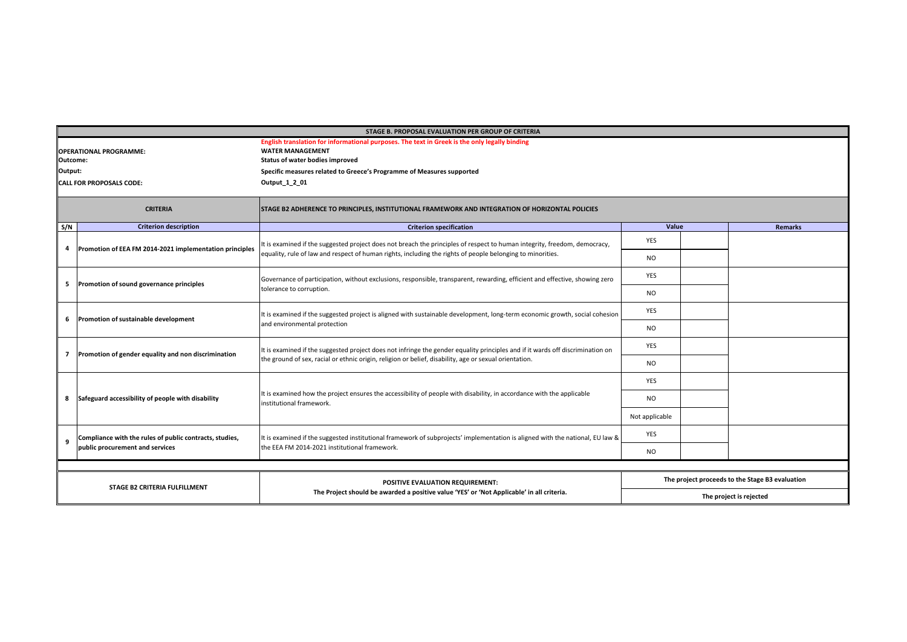|                               | STAGE B. PROPOSAL EVALUATION PER GROUP OF CRITERIA                                                                                                        |                                                                                                                                                                                                                                          |                                                 |                         |                |  |  |  |
|-------------------------------|-----------------------------------------------------------------------------------------------------------------------------------------------------------|------------------------------------------------------------------------------------------------------------------------------------------------------------------------------------------------------------------------------------------|-------------------------------------------------|-------------------------|----------------|--|--|--|
|                               | English translation for informational purposes. The text in Greek is the only legally binding<br><b>WATER MANAGEMENT</b><br><b>OPERATIONAL PROGRAMME:</b> |                                                                                                                                                                                                                                          |                                                 |                         |                |  |  |  |
| Outcome:                      |                                                                                                                                                           | Status of water bodies improved                                                                                                                                                                                                          |                                                 |                         |                |  |  |  |
| Output:                       |                                                                                                                                                           | Specific measures related to Greece's Programme of Measures supported                                                                                                                                                                    |                                                 |                         |                |  |  |  |
|                               | <b>CALL FOR PROPOSALS CODE:</b>                                                                                                                           | Output 1 2 01                                                                                                                                                                                                                            |                                                 |                         |                |  |  |  |
|                               |                                                                                                                                                           |                                                                                                                                                                                                                                          |                                                 |                         |                |  |  |  |
|                               | <b>CRITERIA</b>                                                                                                                                           | STAGE B2 ADHERENCE TO PRINCIPLES, INSTITUTIONAL FRAMEWORK AND INTEGRATION OF HORIZONTAL POLICIES                                                                                                                                         |                                                 |                         |                |  |  |  |
| S/N                           | <b>Criterion description</b>                                                                                                                              | <b>Criterion specification</b>                                                                                                                                                                                                           | Value                                           |                         | <b>Remarks</b> |  |  |  |
| 4                             | Promotion of EEA FM 2014-2021 implementation principles                                                                                                   | It is examined if the suggested project does not breach the principles of respect to human integrity, freedom, democracy,                                                                                                                | <b>YES</b>                                      |                         |                |  |  |  |
|                               |                                                                                                                                                           | equality, rule of law and respect of human rights, including the rights of people belonging to minorities.                                                                                                                               | <b>NO</b>                                       |                         |                |  |  |  |
| 5                             | Promotion of sound governance principles                                                                                                                  | Governance of participation, without exclusions, responsible, transparent, rewarding, efficient and effective, showing zero                                                                                                              | <b>YES</b>                                      |                         |                |  |  |  |
|                               |                                                                                                                                                           | tolerance to corruption.                                                                                                                                                                                                                 | <b>NO</b>                                       |                         |                |  |  |  |
| 6                             | Promotion of sustainable development                                                                                                                      | It is examined if the suggested project is aligned with sustainable development, long-term economic growth, social cohesion<br>and environmental protection                                                                              | <b>YES</b>                                      |                         |                |  |  |  |
|                               |                                                                                                                                                           |                                                                                                                                                                                                                                          | <b>NO</b>                                       |                         |                |  |  |  |
|                               | Promotion of gender equality and non discrimination                                                                                                       | It is examined if the suggested project does not infringe the gender equality principles and if it wards off discrimination on<br>the ground of sex, racial or ethnic origin, religion or belief, disability, age or sexual orientation. | <b>YES</b>                                      |                         |                |  |  |  |
| 7                             |                                                                                                                                                           |                                                                                                                                                                                                                                          | <b>NO</b>                                       |                         |                |  |  |  |
|                               |                                                                                                                                                           |                                                                                                                                                                                                                                          | <b>YES</b>                                      |                         |                |  |  |  |
| 8                             | Safeguard accessibility of people with disability                                                                                                         | It is examined how the project ensures the accessibility of people with disability, in accordance with the applicable<br>institutional framework.                                                                                        | <b>NO</b>                                       |                         |                |  |  |  |
|                               |                                                                                                                                                           |                                                                                                                                                                                                                                          | Not applicable                                  |                         |                |  |  |  |
| q                             | Compliance with the rules of public contracts, studies,                                                                                                   | It is examined if the suggested institutional framework of subprojects' implementation is aligned with the national, EU law &                                                                                                            | <b>YES</b>                                      |                         |                |  |  |  |
|                               | public procurement and services                                                                                                                           | the EEA FM 2014-2021 institutional framework.                                                                                                                                                                                            | <b>NO</b>                                       |                         |                |  |  |  |
|                               |                                                                                                                                                           |                                                                                                                                                                                                                                          |                                                 |                         |                |  |  |  |
| STAGE B2 CRITERIA FULFILLMENT |                                                                                                                                                           | POSITIVE EVALUATION REQUIREMENT:                                                                                                                                                                                                         | The project proceeds to the Stage B3 evaluation |                         |                |  |  |  |
|                               |                                                                                                                                                           | The Project should be awarded a positive value 'YES' or 'Not Applicable' in all criteria.                                                                                                                                                |                                                 | The project is rejected |                |  |  |  |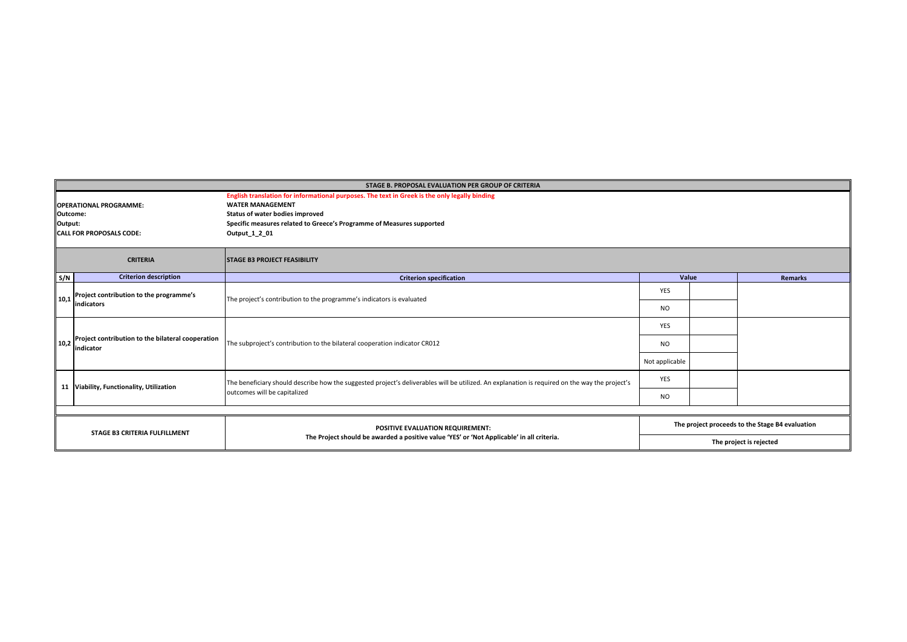|                                           | STAGE B. PROPOSAL EVALUATION PER GROUP OF CRITERIA             |                                                                                                                                                |                |                                                 |                |  |  |
|-------------------------------------------|----------------------------------------------------------------|------------------------------------------------------------------------------------------------------------------------------------------------|----------------|-------------------------------------------------|----------------|--|--|
| <b>OPERATIONAL PROGRAMME:</b><br>Outcome: |                                                                | English translation for informational purposes. The text in Greek is the only legally binding<br><b>WATER MANAGEMENT</b>                       |                |                                                 |                |  |  |
|                                           |                                                                | Status of water bodies improved                                                                                                                |                |                                                 |                |  |  |
| Output:                                   |                                                                | Specific measures related to Greece's Programme of Measures supported                                                                          |                |                                                 |                |  |  |
|                                           | <b>CALL FOR PROPOSALS CODE:</b>                                | Output 1 2 01                                                                                                                                  |                |                                                 |                |  |  |
|                                           | <b>CRITERIA</b>                                                | <b>STAGE B3 PROJECT FEASIBILITY</b>                                                                                                            |                |                                                 |                |  |  |
| S/N                                       | <b>Criterion description</b>                                   | <b>Criterion specification</b>                                                                                                                 | Value          |                                                 | <b>Remarks</b> |  |  |
| 10.1                                      | Project contribution to the programme's                        | The project's contribution to the programme's indicators is evaluated                                                                          | <b>YES</b>     |                                                 |                |  |  |
|                                           | lindicators                                                    |                                                                                                                                                | <b>NO</b>      |                                                 |                |  |  |
|                                           | Project contribution to the bilateral cooperation<br>indicator | The subproject's contribution to the bilateral cooperation indicator CR012                                                                     | <b>YES</b>     |                                                 |                |  |  |
| 10.2                                      |                                                                |                                                                                                                                                | NO.            |                                                 |                |  |  |
|                                           |                                                                |                                                                                                                                                | Not applicable |                                                 |                |  |  |
|                                           | 11 Viability, Functionality, Utilization                       | The beneficiary should describe how the suggested project's deliverables will be utilized. An explanation is required on the way the project's | YES            |                                                 |                |  |  |
|                                           |                                                                | outcomes will be capitalized                                                                                                                   | <b>NO</b>      |                                                 |                |  |  |
|                                           |                                                                |                                                                                                                                                |                |                                                 |                |  |  |
| <b>STAGE B3 CRITERIA FULFILLMENT</b>      |                                                                | POSITIVE EVALUATION REQUIREMENT:<br>The Project should be awarded a positive value 'YES' or 'Not Applicable' in all criteria.                  |                | The project proceeds to the Stage B4 evaluation |                |  |  |
|                                           |                                                                |                                                                                                                                                |                | The project is rejected                         |                |  |  |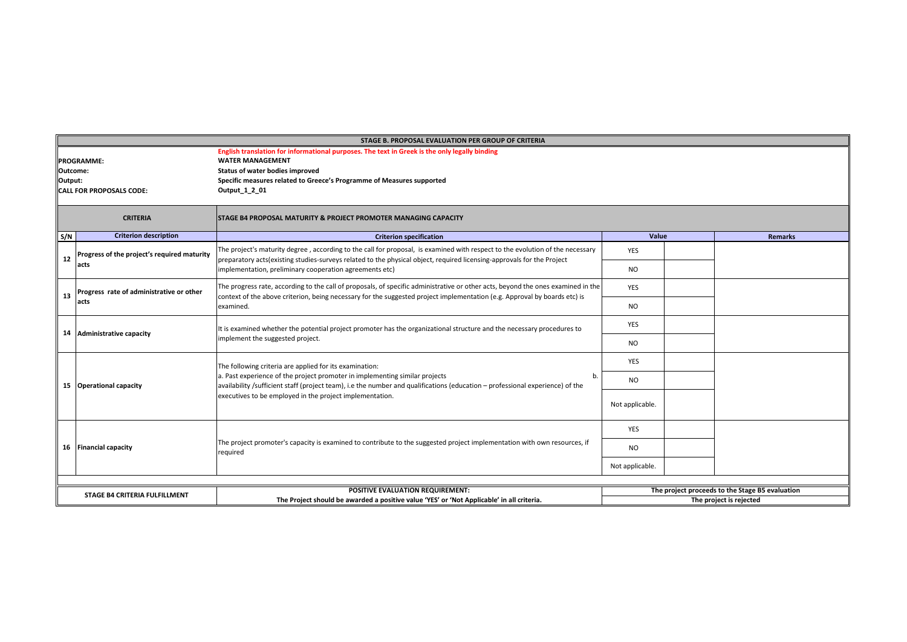|                     | STAGE B. PROPOSAL EVALUATION PER GROUP OF CRITERIA                                            |                                                                                                                                                                                                                                                               |                 |                         |                                                 |  |  |  |
|---------------------|-----------------------------------------------------------------------------------------------|---------------------------------------------------------------------------------------------------------------------------------------------------------------------------------------------------------------------------------------------------------------|-----------------|-------------------------|-------------------------------------------------|--|--|--|
|                     | English translation for informational purposes. The text in Greek is the only legally binding |                                                                                                                                                                                                                                                               |                 |                         |                                                 |  |  |  |
| <b>PROGRAMME:</b>   |                                                                                               | <b>WATER MANAGEMENT</b>                                                                                                                                                                                                                                       |                 |                         |                                                 |  |  |  |
| Outcome:<br>Output: |                                                                                               | Status of water bodies improved                                                                                                                                                                                                                               |                 |                         |                                                 |  |  |  |
|                     |                                                                                               | Specific measures related to Greece's Programme of Measures supported<br>Output 1 2 01                                                                                                                                                                        |                 |                         |                                                 |  |  |  |
|                     | <b>CALL FOR PROPOSALS CODE:</b>                                                               |                                                                                                                                                                                                                                                               |                 |                         |                                                 |  |  |  |
|                     | <b>CRITERIA</b>                                                                               | <b>STAGE B4 PROPOSAL MATURITY &amp; PROJECT PROMOTER MANAGING CAPACITY</b>                                                                                                                                                                                    |                 |                         |                                                 |  |  |  |
| S/N                 | <b>Criterion description</b>                                                                  | <b>Criterion specification</b>                                                                                                                                                                                                                                | Value           |                         | <b>Remarks</b>                                  |  |  |  |
| 12                  | Progress of the project's required maturity                                                   | The project's maturity degree, according to the call for proposal, is examined with respect to the evolution of the necessary<br>preparatory acts(existing studies-surveys related to the physical object, required licensing-approvals for the Project       | <b>YES</b>      |                         |                                                 |  |  |  |
|                     | acts                                                                                          | implementation, preliminary cooperation agreements etc)                                                                                                                                                                                                       | <b>NO</b>       |                         |                                                 |  |  |  |
| 13                  | Progress rate of administrative or other                                                      | The progress rate, according to the call of proposals, of specific administrative or other acts, beyond the ones examined in the<br>context of the above criterion, being necessary for the suggested project implementation (e.g. Approval by boards etc) is | <b>YES</b>      |                         |                                                 |  |  |  |
|                     | acts                                                                                          | examined.                                                                                                                                                                                                                                                     | <b>NO</b>       |                         |                                                 |  |  |  |
|                     | 14 Administrative capacity                                                                    | It is examined whether the potential project promoter has the organizational structure and the necessary procedures to<br>implement the suggested project.                                                                                                    | <b>YES</b>      |                         |                                                 |  |  |  |
|                     |                                                                                               |                                                                                                                                                                                                                                                               | <b>NO</b>       |                         |                                                 |  |  |  |
|                     |                                                                                               | The following criteria are applied for its examination:                                                                                                                                                                                                       | YES             |                         |                                                 |  |  |  |
|                     | 15 Operational capacity                                                                       | a. Past experience of the project promoter in implementing similar projects<br>b.<br>availability /sufficient staff (project team), i.e the number and qualifications (education – professional experience) of the                                            | N <sub>O</sub>  |                         |                                                 |  |  |  |
|                     | executives to be employed in the project implementation.                                      | Not applicable.                                                                                                                                                                                                                                               |                 |                         |                                                 |  |  |  |
|                     |                                                                                               |                                                                                                                                                                                                                                                               | <b>YES</b>      |                         |                                                 |  |  |  |
|                     | 16 Financial capacity                                                                         | The project promoter's capacity is examined to contribute to the suggested project implementation with own resources, if<br>required                                                                                                                          | <b>NO</b>       |                         |                                                 |  |  |  |
|                     |                                                                                               |                                                                                                                                                                                                                                                               | Not applicable. |                         |                                                 |  |  |  |
|                     |                                                                                               |                                                                                                                                                                                                                                                               |                 |                         |                                                 |  |  |  |
|                     | <b>STAGE B4 CRITERIA FULFILLMENT</b>                                                          | POSITIVE EVALUATION REQUIREMENT:                                                                                                                                                                                                                              |                 |                         | The project proceeds to the Stage B5 evaluation |  |  |  |
|                     |                                                                                               | The Project should be awarded a positive value 'YES' or 'Not Applicable' in all criteria.                                                                                                                                                                     |                 | The project is rejected |                                                 |  |  |  |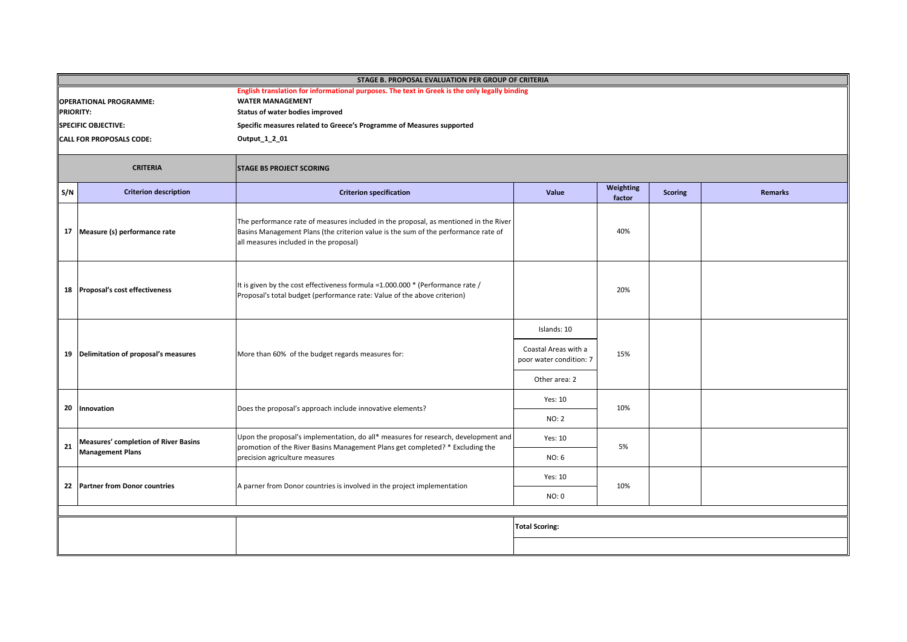| STAGE B. PROPOSAL EVALUATION PER GROUP OF CRITERIA |                                             |                                                                                                                                                                                                                      |                                                 |                     |                |                |  |  |
|----------------------------------------------------|---------------------------------------------|----------------------------------------------------------------------------------------------------------------------------------------------------------------------------------------------------------------------|-------------------------------------------------|---------------------|----------------|----------------|--|--|
| <b>OPERATIONAL PROGRAMME:</b><br><b>PRIORITY:</b>  |                                             | English translation for informational purposes. The text in Greek is the only legally binding<br><b>WATER MANAGEMENT</b><br>Status of water bodies improved                                                          |                                                 |                     |                |                |  |  |
|                                                    | <b>SPECIFIC OBJECTIVE:</b>                  | Specific measures related to Greece's Programme of Measures supported                                                                                                                                                |                                                 |                     |                |                |  |  |
|                                                    | CALL FOR PROPOSALS CODE:                    | Output_1_2_01                                                                                                                                                                                                        |                                                 |                     |                |                |  |  |
|                                                    | <b>CRITERIA</b>                             | <b>STAGE B5 PROJECT SCORING</b>                                                                                                                                                                                      |                                                 |                     |                |                |  |  |
| S/N                                                | <b>Criterion description</b>                | <b>Criterion specification</b>                                                                                                                                                                                       | Value                                           | Weighting<br>factor | <b>Scoring</b> | <b>Remarks</b> |  |  |
| 17                                                 | Measure (s) performance rate                | The performance rate of measures included in the proposal, as mentioned in the River<br>Basins Management Plans (the criterion value is the sum of the performance rate of<br>all measures included in the proposal) |                                                 | 40%                 |                |                |  |  |
|                                                    | 18 Proposal's cost effectiveness            | It is given by the cost effectiveness formula =1.000.000 * (Performance rate /<br>Proposal's total budget (performance rate: Value of the above criterion)                                                           |                                                 | 20%                 |                |                |  |  |
|                                                    |                                             |                                                                                                                                                                                                                      | Islands: 10                                     |                     |                |                |  |  |
|                                                    | 19 Delimitation of proposal's measures      | More than 60% of the budget regards measures for:                                                                                                                                                                    | Coastal Areas with a<br>poor water condition: 7 | 15%                 |                |                |  |  |
|                                                    |                                             |                                                                                                                                                                                                                      | Other area: 2                                   |                     |                |                |  |  |
| 20                                                 | Innovation                                  | Does the proposal's approach include innovative elements?                                                                                                                                                            | Yes: 10                                         | 10%                 |                |                |  |  |
|                                                    |                                             |                                                                                                                                                                                                                      | NO: 2                                           |                     |                |                |  |  |
| 21                                                 | <b>Measures' completion of River Basins</b> | Upon the proposal's implementation, do all* measures for research, development and<br>promotion of the River Basins Management Plans get completed? * Excluding the                                                  | Yes: 10                                         | 5%                  |                |                |  |  |
|                                                    | <b>Management Plans</b>                     | precision agriculture measures                                                                                                                                                                                       | NO: 6                                           |                     |                |                |  |  |
|                                                    |                                             |                                                                                                                                                                                                                      | Yes: 10                                         |                     |                |                |  |  |
|                                                    | 22 Partner from Donor countries             | A parner from Donor countries is involved in the project implementation                                                                                                                                              | NO: 0                                           | 10%                 |                |                |  |  |
|                                                    |                                             |                                                                                                                                                                                                                      | <b>Total Scoring:</b>                           |                     |                |                |  |  |
|                                                    |                                             |                                                                                                                                                                                                                      |                                                 |                     |                |                |  |  |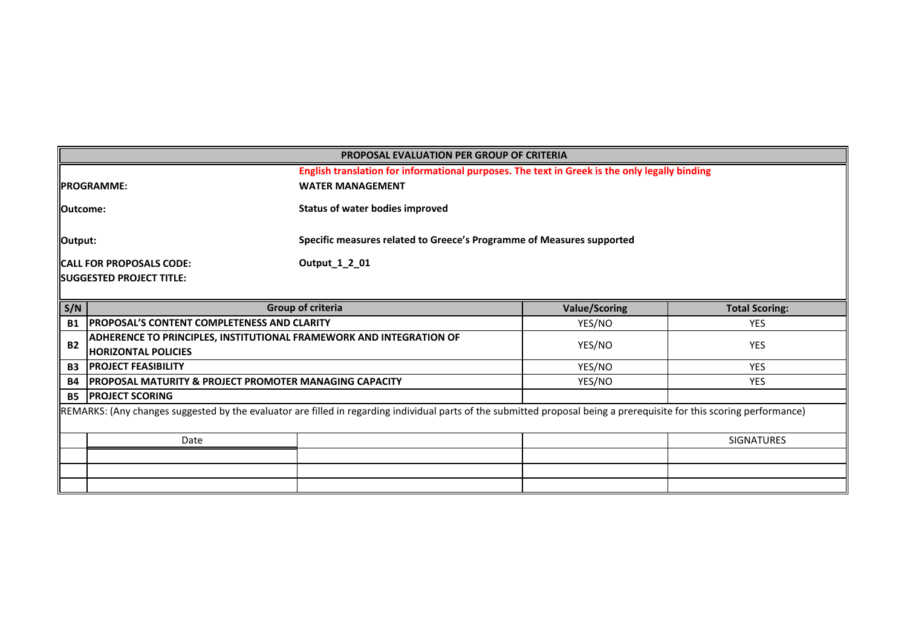|                                                  | <b>PROPOSAL EVALUATION PER GROUP OF CRITERIA</b>                                                                                                                       |                                                                       |        |                       |  |  |  |
|--------------------------------------------------|------------------------------------------------------------------------------------------------------------------------------------------------------------------------|-----------------------------------------------------------------------|--------|-----------------------|--|--|--|
|                                                  | English translation for informational purposes. The text in Greek is the only legally binding                                                                          |                                                                       |        |                       |  |  |  |
|                                                  | <b>PROGRAMME:</b>                                                                                                                                                      | <b>WATER MANAGEMENT</b>                                               |        |                       |  |  |  |
| <b>I</b> Outcome:                                |                                                                                                                                                                        | <b>Status of water bodies improved</b>                                |        |                       |  |  |  |
| Output:                                          |                                                                                                                                                                        | Specific measures related to Greece's Programme of Measures supported |        |                       |  |  |  |
|                                                  | <b>CALL FOR PROPOSALS CODE:</b>                                                                                                                                        | Output_1_2_01                                                         |        |                       |  |  |  |
|                                                  | <b>SUGGESTED PROJECT TITLE:</b>                                                                                                                                        |                                                                       |        |                       |  |  |  |
|                                                  |                                                                                                                                                                        |                                                                       |        |                       |  |  |  |
| S/N<br>Group of criteria<br><b>Value/Scoring</b> |                                                                                                                                                                        |                                                                       |        | <b>Total Scoring:</b> |  |  |  |
| <b>B1</b>                                        | <b>PROPOSAL'S CONTENT COMPLETENESS AND CLARITY</b>                                                                                                                     |                                                                       | YES/NO | <b>YES</b>            |  |  |  |
| <b>B2</b>                                        | <b>ADHERENCE TO PRINCIPLES, INSTITUTIONAL FRAMEWORK AND INTEGRATION OF</b>                                                                                             |                                                                       | YES/NO | <b>YES</b>            |  |  |  |
|                                                  | <b>HORIZONTAL POLICIES</b>                                                                                                                                             |                                                                       |        |                       |  |  |  |
| <b>B3</b>                                        | <b>IPROJECT FEASIBILITY</b>                                                                                                                                            |                                                                       | YES/NO | <b>YES</b>            |  |  |  |
| <b>B4</b>                                        | IPROPOSAL MATURITY & PROJECT PROMOTER MANAGING CAPACITY                                                                                                                |                                                                       | YES/NO | <b>YES</b>            |  |  |  |
| <b>B5</b>                                        | <b>PROJECT SCORING</b>                                                                                                                                                 |                                                                       |        |                       |  |  |  |
|                                                  | REMARKS: (Any changes suggested by the evaluator are filled in regarding individual parts of the submitted proposal being a prerequisite for this scoring performance) |                                                                       |        |                       |  |  |  |
|                                                  | Date                                                                                                                                                                   |                                                                       |        | <b>SIGNATURES</b>     |  |  |  |
|                                                  |                                                                                                                                                                        |                                                                       |        |                       |  |  |  |
|                                                  |                                                                                                                                                                        |                                                                       |        |                       |  |  |  |
|                                                  |                                                                                                                                                                        |                                                                       |        |                       |  |  |  |